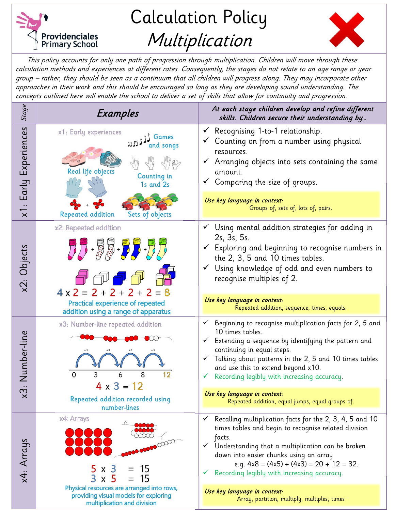

Calculation Policy Multiplication



This policy accounts for only one path of progression through multiplication. Children will move through these calculation methods and experiences at different rates. Consequently, the stages do not relate to an age range or year group – rather, they should be seen as a continuum that all children will progress along. They may incorporate other approaches in their work and this should be encouraged so long as they are developing sound understanding. The concepts outlined here will enable the school to deliver a set of skills that allow for continuity and progression.

| Stage                     | Examples                                                                                                                             | At each stage children develop and refine different<br>skills. Children secure their understanding by                                                                                                                                                                                                                                             |
|---------------------------|--------------------------------------------------------------------------------------------------------------------------------------|---------------------------------------------------------------------------------------------------------------------------------------------------------------------------------------------------------------------------------------------------------------------------------------------------------------------------------------------------|
| x1: Early Experiences     | x1: Early experiences<br>Games<br>and songs<br>Real life objects<br>Counting in<br>1s and 2s<br>Repeated addition<br>Sets of objects | Recognising 1-to-1 relationship.<br>$\checkmark$<br>Counting on from a number using physical<br>resources.<br>$\checkmark$ Arranging objects into sets containing the same<br>amount.<br>$\checkmark$ Comparing the size of groups.                                                                                                               |
|                           |                                                                                                                                      | Use key language in context:<br>Groups of, sets of, lots of, pairs.                                                                                                                                                                                                                                                                               |
| x2: Objects               | x2: Repeated addition<br><b>万·廖恩·罗罗·罗罗</b><br>$4 \times 2 = 2 + 2 + 2 + 2 = 8$                                                       | Using mental addition strategies for adding in<br>2s, 3s, 5s.<br>$\checkmark$ Exploring and beginning to recognise numbers in<br>the 2, 3, 5 and 10 times tables.<br>Using knowledge of odd and even numbers to<br>$\checkmark$<br>recognise multiples of 2.                                                                                      |
|                           | <b>Practical experience of repeated</b><br>addition using a range of apparatus                                                       | Use key language in context:<br>Repeated addition, sequence, times, equals.                                                                                                                                                                                                                                                                       |
| Number-line<br>$\times 3$ | x3: Number-line repeated addition<br>$\overline{0}$<br>$\overline{12}$<br>3<br>8                                                     | Beginning to recognise multiplication facts for 2, 5 and<br>✓<br>10 times tables.<br>Extending a sequence by identifying the pattern and<br>$\checkmark$<br>continuing in equal steps.<br>Talking about patterns in the 2, 5 and 10 times tables<br>✓<br>and use this to extend beyond x10.<br>Recording legibly with increasing accuracy.<br>✓   |
|                           | $4 \times 3 = 12$<br>Repeated addition recorded using<br>number-lines                                                                | Use key language in context:<br>Repeated addition, equal jumps, equal groups of.                                                                                                                                                                                                                                                                  |
| x4: Arrays                | x4: Arrays<br>000000<br>15<br>5 x 3<br>$3 \times 5$<br>15<br>$=$                                                                     | Recalling multiplication facts for the 2, 3, 4, 5 and 10<br>✓<br>times tables and begin to recognise related division<br>facts.<br>$\checkmark$<br>Understanding that a multiplication can be broken<br>down into easier chunks using an array<br>e.g. $4x8 = (4x5) + (4x3) = 20 + 12 = 32$ .<br>Recording legibly with increasing accuracy.<br>v |
|                           | Physical resources are arranged into rows,<br>providing visual models for exploring<br>multiplication and division                   | Use key language in context:<br>Array, partition, multiply, multiples, times                                                                                                                                                                                                                                                                      |